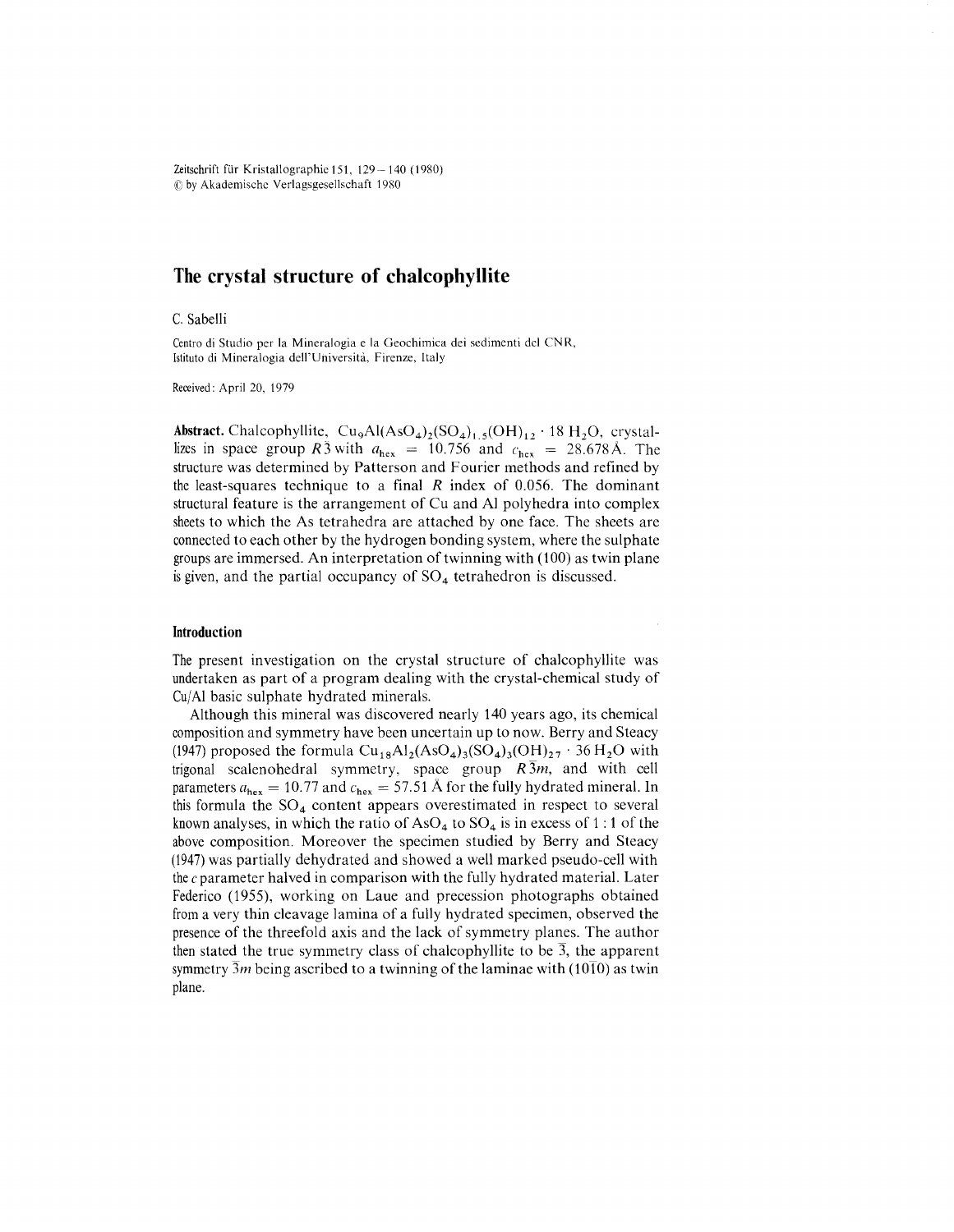Zeitschrift für Kristallographie 151, 129 - 140 (1980) !Qby Akademischc Verlagsgesellschaft 1980

# **The crystal structure of** chalco phyllite

C.Sabelli

Centro di Studio per la Mineralogia e la Geochimica dei sedimenti del CNR, Istituto di Mineralogia dell'Università, Firenze, Italy

Received: April 20, 1979

**Abstract.** Chalcophyllite,  $Cu_9Al(AsO_4)_2(SO_4)_{1.5}(OH)_{12} \cdot 18 H_2O$ , crystallizes in space group *R3* with  $a_{\text{hex}} = 10.756$  and  $c_{\text{hex}} = 28.678 \text{Å}$ . The structure was determined by Patterson and Fourier methods and refined by the least-squares technique to a final *R* index of 0.056. The dominant structural feature is the arrangement of Cu and Al polyhedra into complex sheets to which the As tetrahedra are attached by one face. The sheets are connected to each other by the hydrogen bonding system, where the sulphate groupsare immersed. An interpretation of twinning with (100) as twin plane is given, and the partial occupancy of  $SO<sub>4</sub>$  tetrahedron is discussed.

# **Introduction**

The present investigation on the crystal structure of chalcophyllite was undertaken as part of a program dealing with the crystal-chemical study of Cu/Al basic sulphate hydrated minerals.

Although this mineral was discovered nearly 140 years ago, its chemical composition and symmetry have been uncertain up to now. Berry and Steacy (1947) proposed the formula  $\text{Cu}_{18}\text{Al}_2(\text{AsO}_4)_{3}(\text{SO}_4)_{3}(\text{OH})_{27}$  . 36 H<sub>2</sub>O with trigonal scalenohedral symmetry, space group *R 3m,* and with cell parameters  $a_{\text{hex}} = 10.77$  and  $c_{\text{hex}} = 57.51$  Å for the fully hydrated mineral. In this formula the  $SO_4$  content appears overestimated in respect to several known analyses, in which the ratio of  $AsO<sub>4</sub>$  to  $SO<sub>4</sub>$  is in excess of 1 : 1 of the above composition. Moreover the specimen studied by Berry and Steacy (1947) was partially dehydrated and showed a wellmarked pseudo-cell with the c parameter halved in comparison with the fully hydrated material. Later Federico (1955), working on Laue and precession photographs obtained froma very thin cleavage lamina of a fully hydrated specimen, observed the presence of the threefold axis and the lack of symmetry planes. The author then stated the true symmetry class of chalcophyllite to be  $\overline{3}$ , the apparent symmetry  $\overline{3}m$  being ascribed to a twinning of the laminae with (10<sup>1</sup>10) as twin plane.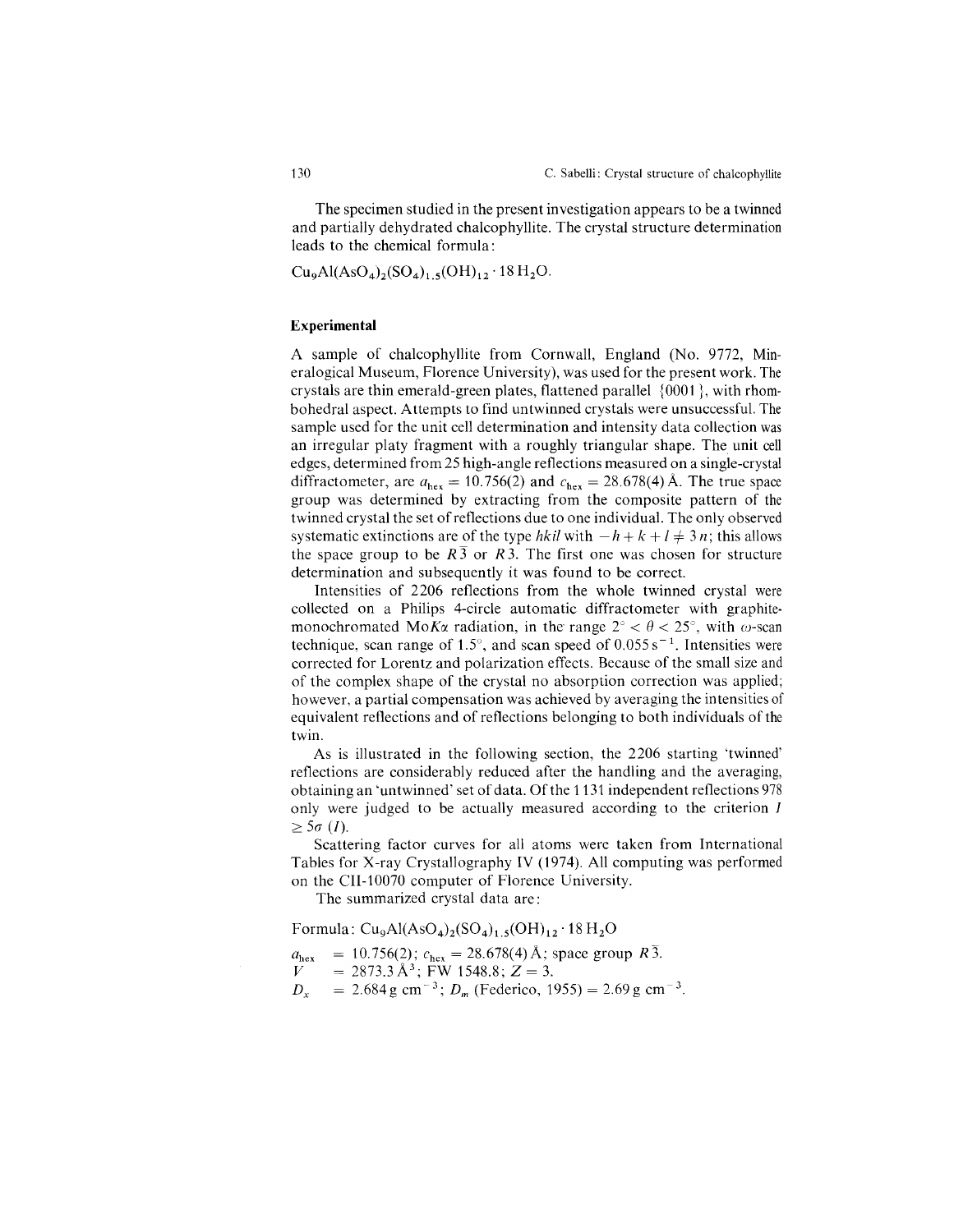The specimen studied in the present investigation appears to be a twinned and partially dehydrated cha1cophyllite. The crystal structure determination leads to the chemical formula:

 $Cu_9Al(AsO_4)_2(SO_4)_{1.5}(OH)_{12} \cdot 18 H_2O.$ 

## **Experimental**

A sample of cha1cophyllite from Cornwall, England (No. 9772, Mineralogical Museum, Florence University), was used for the present work. The crystals are thin emerald-green plates, flattened parallel {0001}, with rhombohedral aspect. Attempts to find un twinned crystals were unsuccessful. The sample used for the unit cell determination and intensity data collection was an irregular platy fragment with a roughly triangular shape. The unit cell edges, determined from 25 high-angle reflections measured on a single-crystal diffractometer, are  $a_{\text{hex}} = 10.756(2)$  and  $c_{\text{hex}} = 28.678(4)$  Å. The true space group was determined by extracting from the composite pattern of the twinned crystal the set of reflections due to one individual. The only observed systematic extinctions are of the type *hkil* with  $-h+k+l \neq 3n$ ; this allows the space group to be  $R_3$  or  $R_3$ . The first one was chosen for structure determination and subsequently it was found to be correct.

Intensities of 2206 reflections from the whole twinned crystal were collected on a Philips 4-circle automatic diffractometer with graphitemonochromated Mo*K* $\alpha$  radiation, in the range  $2^{\circ} < \theta < 25^{\circ}$ , with  $\omega$ -scan technique, scan range of 1.5°, and scan speed of  $0.055 s^{-1}$ . Intensities were corrected for Lorentz and polarization effects. Because of the small size and of the complex shape of the crystal no absorption correction was applied; however, a partial compensation was achieved by averaging the intensities of equivalent reflections and of reflections belonging to both individuals of the twin.

As is illustrated in the following section, the 2206 starting 'twinned' reflections are considerably reduced after the handling and the averaging, obtaining an 'untwinned' set of data. Of the 1131 independent reflections 978 only were judged to be actually measured according to the criterion *I*  $> 5\sigma$  *(I).* 

Scattering factor curves for all atoms were taken from International Tables for X-ray Crystallography IV (1974). All computing was performed on the CII-l0070 computer of Florence University.

The summarized crystal data are:

Formula:  $Cu_9Al(AsO_4)_2(SO_4)_{1.5}(OH)_{12} \cdot 18 H_2O$ 

$$
a_{\text{hex}} = 10.756(2); c_{\text{hex}} = 28.678(4) \text{ Å}; \text{ space group } R\overline{3}.
$$
  
\n
$$
V = 2873.3 \text{ Å}^3; \text{ FW } 1548.8; Z = 3.
$$
  
\n
$$
D_x = 2.684 \text{ g cm}^{-3}; D_m \text{ (Federico, 1955)} = 2.69 \text{ g cm}^{-3}.
$$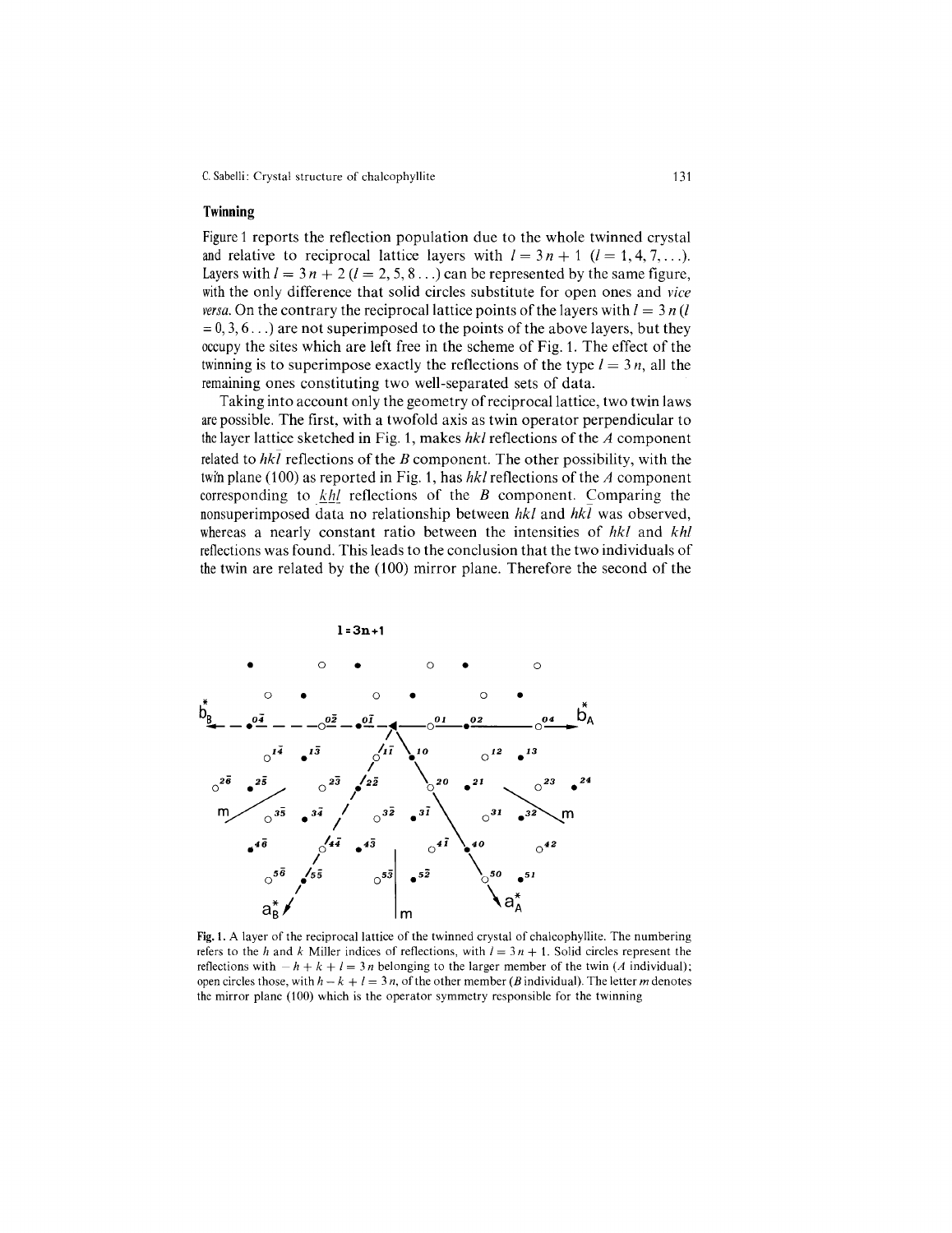## **Twinning**

Figure 1 reports the reflection population due to the whole twinned crystal and relative to reciprocal lattice layers with  $l = 3n + 1$  ( $l = 1, 4, 7, \ldots$ ). Layers with  $l = 3n + 2$  ( $l = 2, 5, 8...$ ) can be represented by the same figure with the only difference that solid circles substitute for open ones and *vice versa.* On the contrary the reciprocal lattice points of the layers with  $l = 3 n(l)$  $= 0, 3, 6...$ ) are not superimposed to the points of the above layers, but they occupy the sites which are left free in the scheme of Fig. 1. The effect of the twinning is to superimpose exactly the reflections of the type  $l = 3n$ , all the remaining ones constituting two well-separated sets of data.

Taking into account only the geometry of reciprocal lattice, two twin laws are possible. The first, with a twofold axis as twin operator perpendicular to thelayer lattice sketched in Fig. 1, makes *hkl* reflections of the *A* component related to  $hk\bar{l}$  reflections of the *B* component. The other possibility, with the twin plane (100) as reported in Fig. 1, has *hkl* reflections of the *A* component corresponding to  $k h l$  reflections of the *B* component. Comparing the nonsuperimposed data no relationship between *hkl* and *hkl* was observed, whereas a nearly constant ratio between the intensities of *hkl* and *khl* reflectionswas found. This leads to the conclusion that the two individuals of the twin are related by the (100) mirror plane. Therefore the second of the



Fig. 1. A layer of the reciprocal lattice of the twinned crystal of chalcophyllite. The numbering refers to the *h* and *k* Miller indices of reflections, with  $I = 3n + 1$ . Solid circles represent the reflections with  $-h + k + l = 3n$  belonging to the larger member of the twin *(A* individual); open circles those, with  $h - k + l = 3n$ , of the other member *(B* individual). The letter *m* denotes the mirror plane (100) which is the operator symmetry responsible for the twinning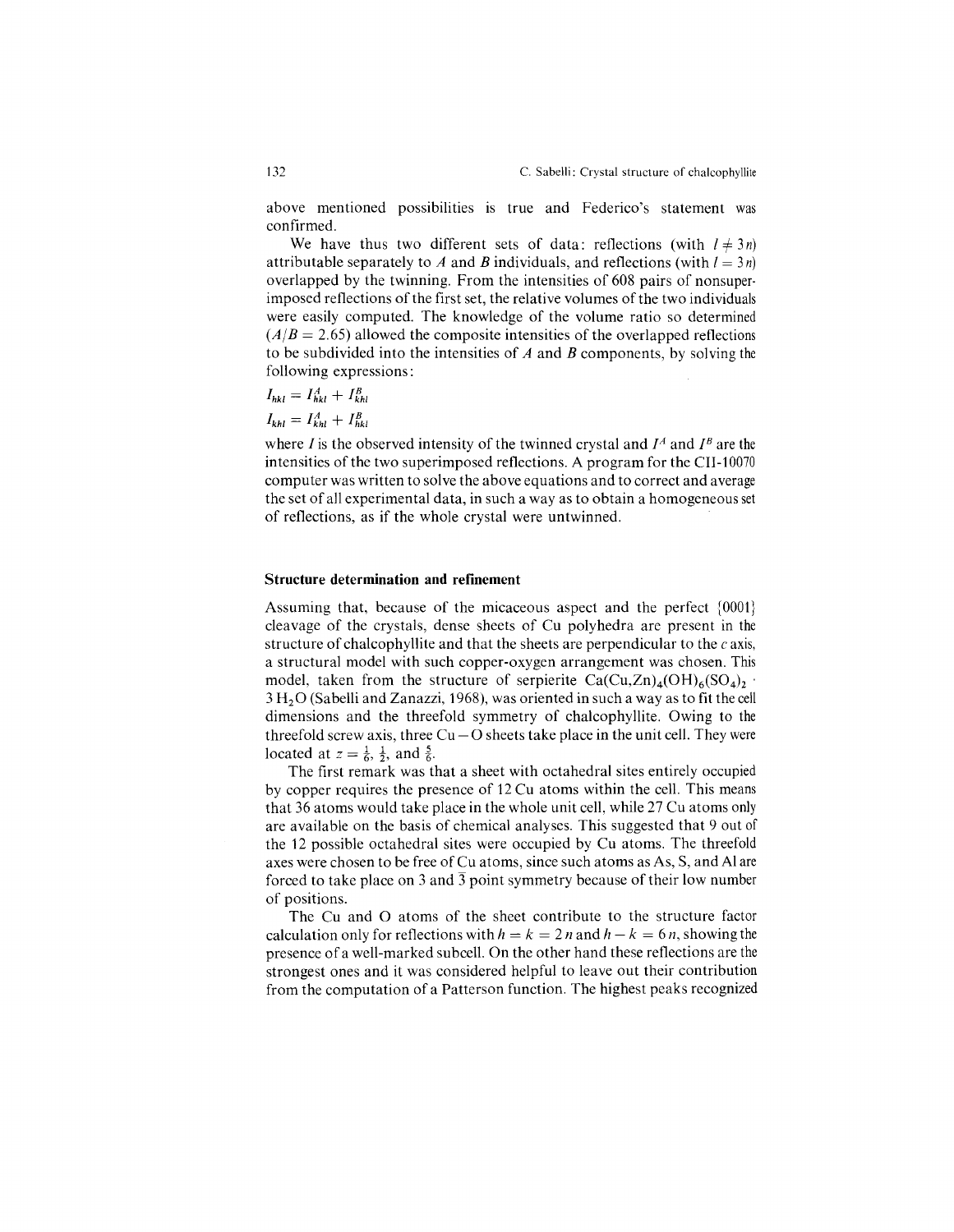above mentioned possibilities is true and Federico's statement was confirmed.

We have thus two different sets of data: reflections (with  $l \neq 3n$ ) attributable separately to *A* and *B* individuals, and reflections (with  $I = 3n$ ) overlapped by the twinning. From the intensities of 608 pairs of nonsuperimposed reflections of the first set, the relative volumes of the two individuals were easily computed. The knowledge of the volume ratio so determined  $(A/B = 2.65)$  allowed the composite intensities of the overlapped reflections to be subdivided into the intensities of *A* and *B* components, by solving the following expressions:

$$
I_{hkl} = I_{hkl}^A + I_{khl}^B
$$

 $I_{khl} = I_{khl}^A + I_{hkl}^B$ 

where *I* is the observed intensity of the twinned crystal and  $I^A$  and  $I^B$  are the intensities of the two superimposed reflections. A program for the CII-10070 computer was written to solve the above equations and to correct and average the set of all experimental data, in such a way as to obtain a homogeneous set of reflections, as if the whole crystal were untwinned.

## **Structure determination and refinement**

Assuming that, because of the micaceous aspect and the perfect {0001} cleavage of the crystals, dense sheets of Cu polyhedra are present in the structure of chalcophyllite and that the sheets are perpendicular to the  $c$  axis, a structural model with such copper-oxygen arrangement was chosen. This model, taken from the structure of serpierite  $Ca(Cu,Zn)_{4}(OH)_{6}(SO_{4})_{2}$ . 3 H20 (Sabelli and Zanazzi, 1968), was oriented in such a way as to fit the cell dimensions and the threefold symmetry of chalcophyllite. Owing to the threefold screw axis, three  $Cu - O$  sheets take place in the unit cell. They were located at  $z = \frac{1}{6}, \frac{1}{2}$ , and  $\frac{5}{6}$ .

The first remark was that a sheet with octahedral sites entirely occupied by copper requires the presence of 12 Cu atoms within the cell. This means that 36 atoms would take place in the whole unit cell, while 27 Cu atoms only are available on the basis of chemical analyses. This suggested that 9 out of the 12 possible octahedral sites were occupied by Cu atoms. The threefold axes were chosen to be free of Cu atoms, since such atoms as As, S, and Al are forced to take place on 3 and  $\overline{3}$  point symmetry because of their low number of positions.

The Cu and 0 atoms of the sheet contribute to the structure factor calculation only for reflections with  $h = k = 2n$  and  $h - k = 6n$ , showing the presence of a well-marked subcell. On the other hand these reflections are the strongest ones and it was considered helpful to leave out their contribution from the computation of a Patterson function. The highest peaks recognized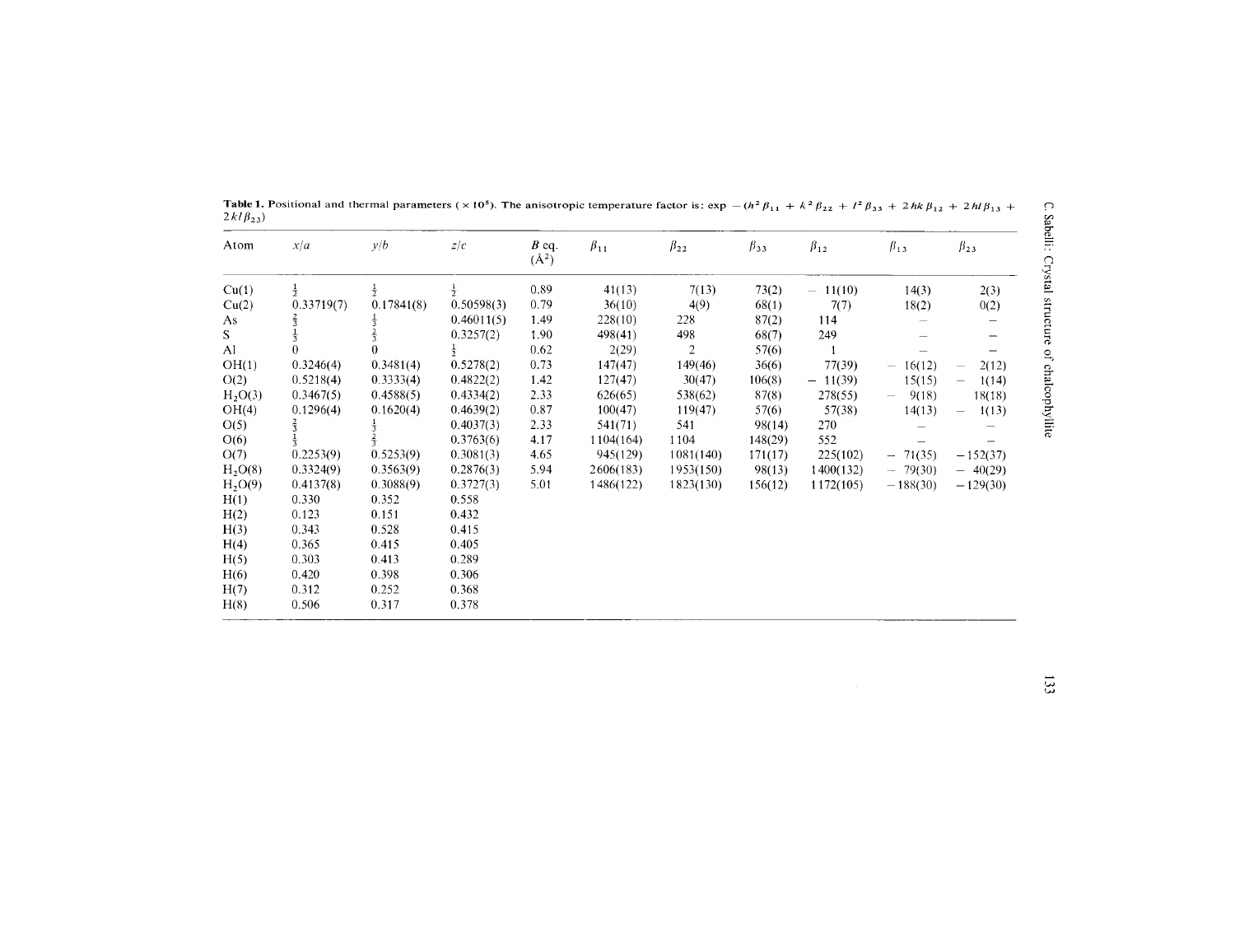| Atom                | x/a        | y/b        | z/c           | $B$ eq.<br>$(\AA^2)$ | $\beta_{11}$ | $\beta_{22}$   | $\beta_{33}$ | $\beta_{12}$ | $\beta_{13}$ | $\beta_{23}$                      |
|---------------------|------------|------------|---------------|----------------------|--------------|----------------|--------------|--------------|--------------|-----------------------------------|
| Cu(1)               |            |            | $\frac{1}{2}$ | 0.89                 | 41(13)       | 7(13)          | 73(2)        | $-11(10)$    | 14(3)        | 2(3)                              |
| Cu(2)               | 0.33719(7) | 0.17841(8) | 0.50598(3)    | 0.79                 | 36(10)       | 4(9)           | 68(1)        | 7(7)         | 18(2)        | 0(2)                              |
| As                  |            |            | 0.46011(5)    | 1.49                 | 228(10)      | 228            | 87(2)        | 114          |              |                                   |
| $S_{-}$             |            |            | 0.3257(2)     | 1.90                 | 498(41)      | 498            | 68(7)        | 249          |              |                                   |
| A1                  | $\theta$   |            | $\frac{1}{2}$ | 0.62                 | 2(29)        | $\overline{2}$ | 57(6)        |              |              |                                   |
| OH(1)               | 0.3246(4)  | 0.3481(4)  | 0.5278(2)     | 0.73                 | 147(47)      | 149(46)        | 36(6)        | 77(39)       | $-16(12)$    | 2(12)                             |
| O(2)                | 0.5218(4)  | 0.3333(4)  | 0.4822(2)     | 1.42                 | 127(47)      | 30(47)         | 106(8)       | $-11(39)$    | 15(15)       | 1(14)<br>$\overline{\phantom{0}}$ |
| H <sub>2</sub> O(3) | 0.3467(5)  | 0.4588(5)  | 0.4334(2)     | 2.33                 | 626(65)      | 538(62)        | 87(8)        | 278(55)      | 9(18)        | 18(18)                            |
| OH(4)               | 0.1296(4)  | 0.1620(4)  | 0.4639(2)     | 0.87                 | 100(47)      | 119(47)        | 57(6)        | 57(38)       | 14(13)       | 1(13)<br>$\overline{\phantom{a}}$ |
| O(5)                |            |            | 0.4037(3)     | 2.33                 | 541(71)      | 541            | 98(14)       | 270          |              |                                   |
| O(6)                |            |            | 0.3763(6)     | 4.17                 | 1104(164)    | 1104           | 148(29)      | 552          |              |                                   |
| O(7)                | 0.2253(9)  | 0.5253(9)  | 0.3081(3)     | 4.65                 | 945(129)     | 1081(140)      | 171(17)      | 225(102)     | $-71(35)$    | $-152(37)$                        |
| H <sub>2</sub> O(8) | 0.3324(9)  | 0.3563(9)  | 0.2876(3)     | 5.94                 | 2606(183)    | 1953(150)      | 98(13)       | 1400(132)    | $-79(30)$    | $-40(29)$                         |
| $H_2O(9)$           | 0.4137(8)  | 0.3088(9)  | 0.3727(3)     | 5.01                 | 1486(122)    | 1823(130)      | 156(12)      | 1172(105)    | $-188(30)$   | $-129(30)$                        |
| H(1)                | 0.330      | 0.352      | 0.558         |                      |              |                |              |              |              |                                   |
| H(2)                | 0.123      | 0.151      | 0.432         |                      |              |                |              |              |              |                                   |
| H(3)                | 0.343      | 0.528      | 0.415         |                      |              |                |              |              |              |                                   |
| H(4)                | 0.365      | 0.415      | 0.405         |                      |              |                |              |              |              |                                   |
| H(5)                | 0.303      | 0.413      | 0.289         |                      |              |                |              |              |              |                                   |
| H(6)                | 0.420      | 0.398      | 0.306         |                      |              |                |              |              |              |                                   |
| H(7)                | 0.312      | 0.252      | 0.368         |                      |              |                |              |              |              |                                   |
| H(8)                | 0.506      | 0.317      | 0.378         |                      |              |                |              |              |              |                                   |

**Table 1.** Positional and thermal parameters ( $\times$  10<sup>5</sup>). The anisotropic temperature factor is:  $\exp - (h^2 \beta_{11} + k^2 \beta_{22} + l^2 \beta_{33} + 2hk \beta_{12} + 2hl \beta_{13} + \frac{C_1 \beta_{13} + 2hk \beta_{23}}{2}$ 

 $\int$  $^{\circ}$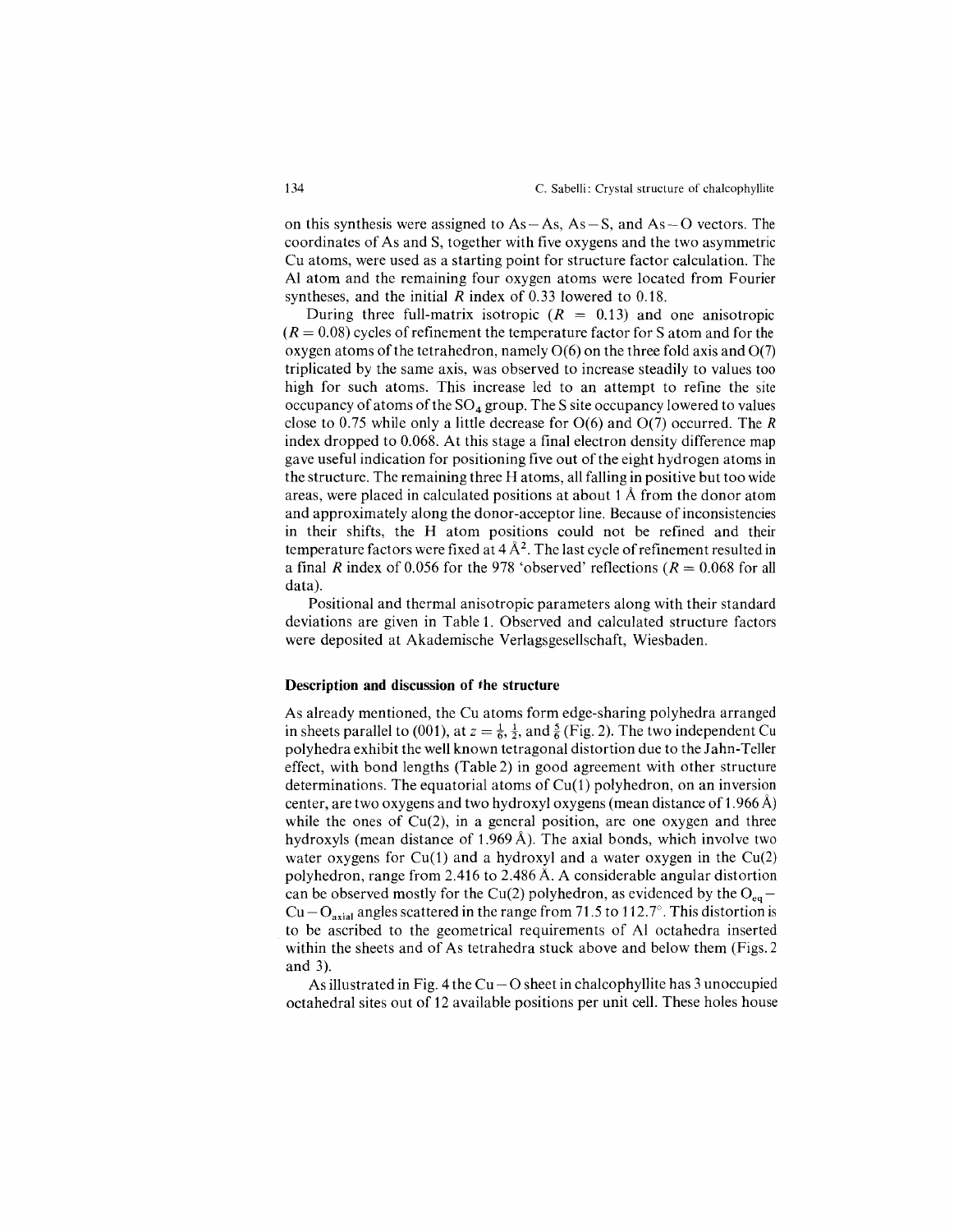on this synthesis were assigned to  $As - As$ ,  $As - S$ , and  $As - O$  vectors. The coordinates of As and S, together with five oxygens and the two asymmetric Cu atoms, were used as a starting point for structure factor calculation. The Al atom and the remaining four oxygen atoms were located from Fourier syntheses, and the initial *R* index of 0.33 lowered to 0.18.

During three full-matrix isotropic  $(R = 0.13)$  and one anisotropi  $(R = 0.08)$  cycles of refinement the temperature factor for S atom and for the oxygen atoms of the tetrahedron, namely  $O(6)$  on the three fold axis and  $O(7)$ triplicated by the same axis, was observed to increase steadily to values too high for such atoms. This increase led to an attempt to refine the site occupancy of atoms of the  $SO_4$  group. The S site occupancy lowered to values close to 0.75 while only a little decrease for 0(6) and 0(7) occurred. The *R* index dropped to 0.068. At this stage a final electron density difference map gave useful indication for positioning five out of the eight hydrogen atoms in the structure. The remaining three H atoms, all falling in positive but too wide areas, were placed in calculated positions at about 1A from the donor atom and approximately along the donor-acceptor line. Because of inconsistencies in their shifts, the H atom positions could not be refined and their temperature factors were fixed at  $4 \text{ Å}^2$ . The last cycle of refinement resulted in a final *R* index of 0.056 for the 978 'observed' reflections  $(R = 0.068$  for all data).

Positional and thermal anisotropic parameters along with their standard deviations are given in Table 1. Observed and calculated structure factors were deposited at Akademische Verlagsgesellschaft, Wiesbaden.

#### **Description and discussion of the structure**

As already mentioned, the Cu atoms form edge-sharing polyhedra arranged in sheets parallel to (001), at  $z = \frac{1}{6}, \frac{1}{2}$ , and  $\frac{5}{6}$  (Fig. 2). The two independent Cu polyhedra exhibit the well known tetragonal distortion due to the Jahn-Teller effect, with bond lengths (Table 2) in good agreement with other structure determinations. The equatorial atoms of  $Cu(1)$  polyhedron, on an inversion center, are two oxygens and two hydroxyl oxygens (mean distance of 1.966 A) while the ones of  $Cu(2)$ , in a general position, are one oxygen and three hydroxyls (mean distance of 1.969 Å). The axial bonds, which involve two water oxygens for Cu(1) and a hydroxyl and a water oxygen in the Cu(2) polyhedron, range from 2.416 to 2.486 A. A considerable angular distortion can be observed mostly for the Cu(2) polyhedron, as evidenced by the  $O_{eq}$ Cu – O<sub>axial</sub> angles scattered in the range from 71.5 to 112.7°. This distortion is to be ascribed to the geometrical requirements of Al octahedra inserted within the sheets and of As tetrahedra stuck above and below them (Figs. 2 and 3).

As illustrated in Fig. 4 the  $Cu - O$  sheet in chalcophyllite has 3 unoccupied octahedral sites out of 12 available positions per unit cell. These holes house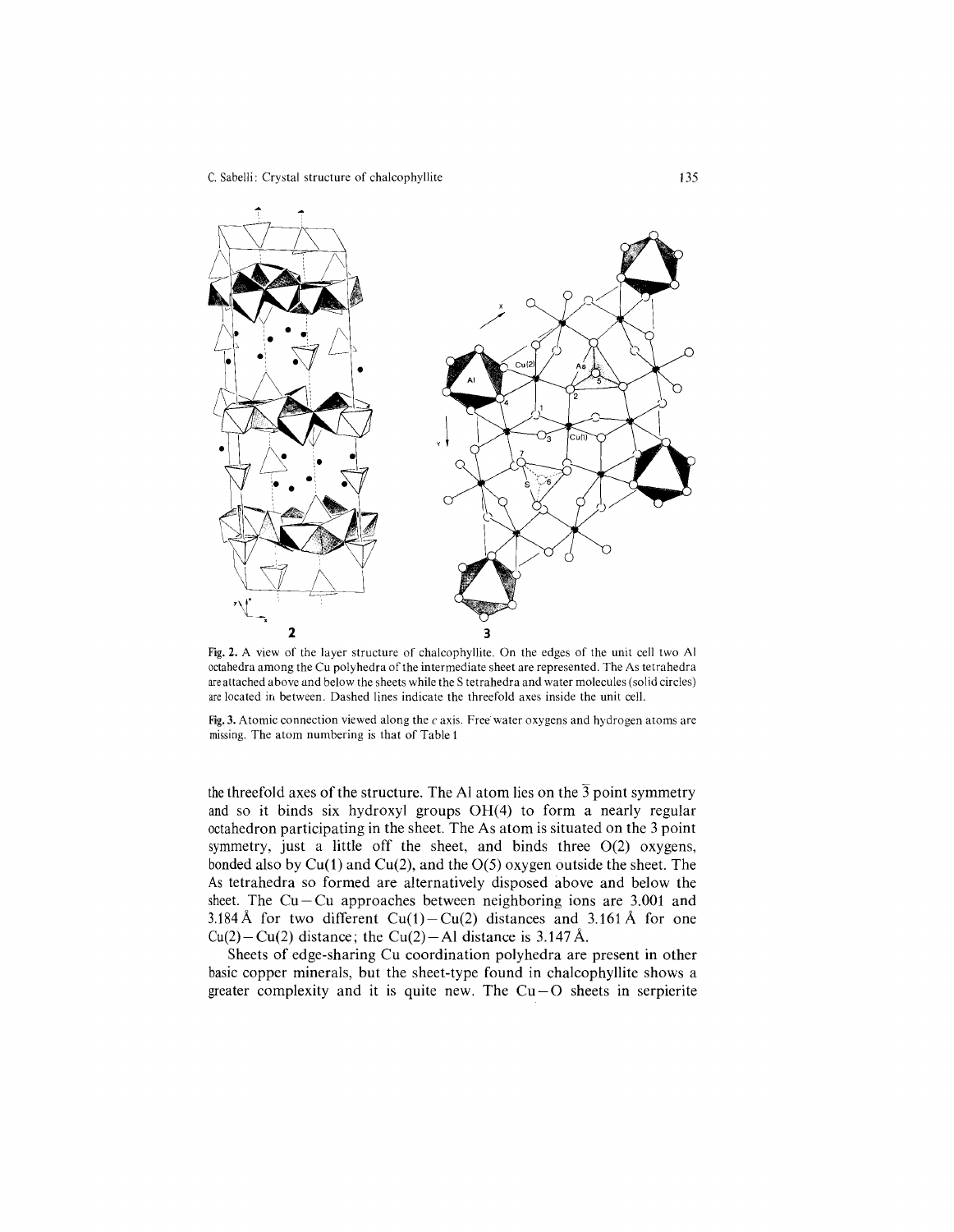

Fig. 2. A view of the layer structure of chalcophyllite. On the edges of the unit cell two Al octahedra among the Cu polyhedra of the intermediate sheet are represented. The As tetrahedra are attached above and below the sheets while the S tetrahedra and water molecules (solid circles) are located in between. Dashed lines indicate the threefold axes inside the unit cell.

Fig. 3. Atomic connection viewed along the  $c$  axis. Free water oxygens and hydrogen atoms are missing. The atom numbering is that of Table 1

the threefold axes of the structure. The Al atom lies on the  $\overline{3}$  point symmetry and so it binds six hydroxyl groups OH(4) to form a nearly regular octahedron participating in the sheet. The As atom is situated on the 3 point symmetry, just a little off the sheet, and binds three 0(2) oxygens, bonded also by  $Cu(1)$  and  $Cu(2)$ , and the  $O(5)$  oxygen outside the sheet. The As tetrahedra so formed are alternatively disposed above and below the sheet. The  $Cu - Cu$  approaches between neighboring ions are 3.001 and 3.184 Å for two different  $Cu(1)-Cu(2)$  distances and 3.161 Å for one  $Cu(2)-Cu(2)$  distance; the Cu(2)-Al distance is 3.147 Å.

Sheets of edge-sharing Cu coordination polyhedra are present in other basic copper minerals, but the sheet-type found in chalcophyllite shows a greater complexity and it is quite new. The  $Cu-O$  sheets in serpierite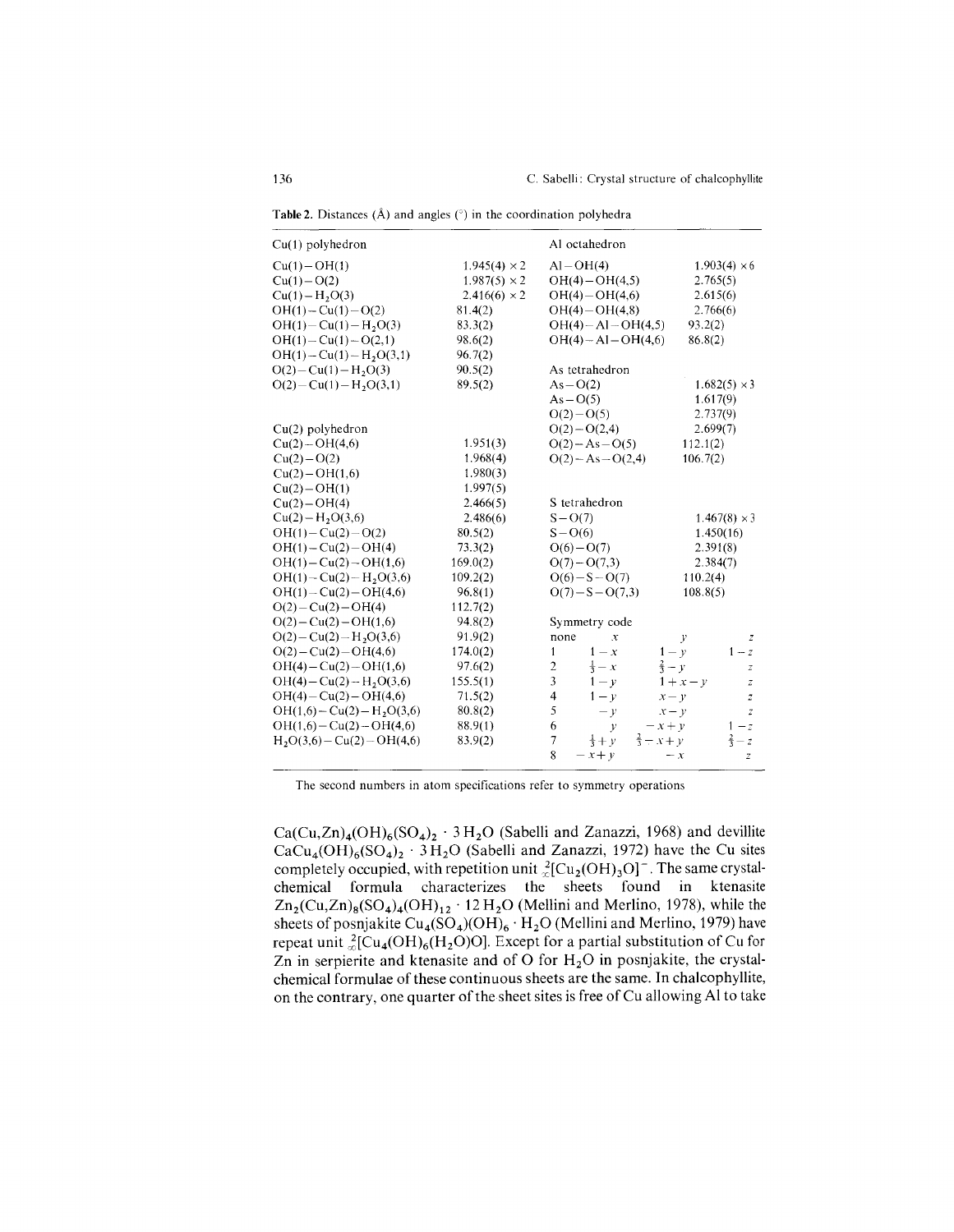| $Cu(1)$ polyhedron           |                     | Al octahedron                                          |                                   |  |
|------------------------------|---------------------|--------------------------------------------------------|-----------------------------------|--|
| $Cu(1) - OH(1)$              | $1.945(4) \times 2$ | $Al-OH(4)$                                             | $1.903(4) \times 6$               |  |
| $Cu(1) - O(2)$               | $1.987(5) \times 2$ | $OH(4) - OH(4,5)$                                      | 2.765(5)                          |  |
| $Cu(1) - H2O(3)$             | $2.416(6) \times 2$ | $OH(4) - OH(4,6)$                                      | 2.615(6)                          |  |
| $OH(1) - Cu(1) - O(2)$       | 81.4(2)             | $OH(4) - OH(4,8)$                                      | 2.766(6)                          |  |
| $OH(1) - Cu(1) - H2O(3)$     | 83.3(2)             | $OH(4) - Al - OH(4,5)$                                 | 93.2(2)                           |  |
| $OH(1) - Cu(1) - O(2,1)$     | 98.6(2)             | $OH(4) - Al - OH(4,6)$                                 | 86.8(2)                           |  |
| $OH(1) - Cu(1) - H2O(3,1)$   | 96.7(2)             |                                                        |                                   |  |
| $O(2) - Cu(1) - H2O(3)$      | 90.5(2)             | As tetrahedron                                         |                                   |  |
| $O(2) - Cu(1) - H_2O(3,1)$   | 89.5(2)             | $As-O(2)$                                              | $1.682(5) \times 3$               |  |
|                              |                     | $As - O(5)$                                            | 1.617(9)                          |  |
|                              |                     | $O(2)-O(5)$                                            | 2.737(9)                          |  |
| $Cu(2)$ polyhedron           |                     | $O(2)-O(2,4)$                                          | 2.699(7)                          |  |
| $Cu(2)-OH(4,6)$              | 1.951(3)            | $O(2) - As - O(5)$                                     | 112.1(2)                          |  |
| $Cu(2)-O(2)$                 | 1.968(4)            | $O(2) - As - O(2, 4)$                                  | 106.7(2)                          |  |
| $Cu(2)-OH(1,6)$              | 1.980(3)            |                                                        |                                   |  |
| $Cu(2) - OH(1)$              | 1.997(5)            |                                                        |                                   |  |
| $Cu(2)-OH(4)$                | 2.466(5)            | S tetrahedron                                          |                                   |  |
| $Cu(2) - H2O(3,6)$           | 2.486(6)            | $S - O(7)$                                             | $1.467(8) \times 3$               |  |
| $OH(1) - Cu(2) - O(2)$       | 80.5(2)             | $S - O(6)$                                             | 1.450(16)                         |  |
| $OH(1) - Cu(2) - OH(4)$      | 73.3(2)             | $O(6)-O(7)$                                            | 2.391(8)                          |  |
| $OH(1) - Cu(2) - OH(1,6)$    | 169.0(2)            | $O(7) - O(7,3)$                                        | 2.384(7)                          |  |
| $OH(1) - Cu(2) - H2O(3,6)$   | 109.2(2)            | $O(6) - S - O(7)$                                      | 110.2(4)                          |  |
| $OH(1)-Cu(2)-OH(4,6)$        | 96.8(1)             | $O(7) - S - O(7,3)$                                    | 108.8(5)                          |  |
| $O(2) - Cu(2) - OH(4)$       | 112.7(2)            |                                                        |                                   |  |
| $O(2) - Cu(2) - OH(1,6)$     | 94.8(2)             | Symmetry code                                          |                                   |  |
| $O(2) - Cu(2) - H_2O(3,6)$   | 91.9(2)             | none<br>$\boldsymbol{\chi}$                            | $\mathcal{V}$<br>$\boldsymbol{Z}$ |  |
| $O(2) - Cu(2) - OH(4,6)$     | 174.0(2)            | $1 - y$<br>$1 - x$<br>$\mathbf{1}$                     | $1-z$                             |  |
| $OH(4) - Cu(2) - OH(1,6)$    | 97.6(2)             | $rac{2}{3} - y$<br>$\overline{c}$<br>$\frac{1}{3} - x$ | z                                 |  |
| $OH(4) - Cu(2) - H2O(3,6)$   | 155.5(1)            | 3<br>$1 - y$                                           | $1+x-y$<br>z                      |  |
| $OH(4) - Cu(2) - OH(4,6)$    | 71.5(2)             | $\overline{4}$<br>$1 - y$<br>$x - y$                   | $\overline{z}$                    |  |
| $OH(1,6) - Cu(2) - H2O(3,6)$ | 80.8(2)             | 5<br>$-\nu$<br>$x - y$                                 | $\overline{z}$                    |  |
| $OH(1,6) - Cu(2) - OH(4,6)$  | 88.9(1)             | 6<br>$-x + v$<br>$\mathcal{V}$                         | $1-z$                             |  |
| $H2O(3,6) - Cu(2) - OH(4,6)$ | 83.9(2)             | $rac{2}{3} - x + y$<br>7<br>$rac{1}{3} + v$            | $rac{2}{3} - z$                   |  |
|                              |                     | 8<br>$-x+y$                                            | $-x$<br>$\overline{z}$            |  |

**Table 2.** Distances  $(A)$  and angles  $(\degree)$  in the coordination polyhedra

The second numbers in atom specifications refer to symmetry operations

 $Ca(Cu,Zn)_{4}(OH)_{6}(SO_{4})_{2}$  · 3 H<sub>2</sub>O (Sabelli and Zanazzi, 1968) and devillite  $CaCu<sub>4</sub>(OH)<sub>6</sub>(SO<sub>4</sub>)<sub>2</sub> · 3 H<sub>2</sub>O$  (Sabelli and Zanazzi, 1972) have the Cu sites completely occupied, with repetition unit  ${}_{\infty}^{2}$ [Cu<sub>2</sub>(OH)<sub>3</sub>O]<sup>-</sup>. The same crystalchemical formula characterizes the sheets found in ktenasite  $\text{Zn}_2(\text{Cu},\text{Zn})_8(\text{SO}_4)_4(\text{OH})_{12}$  . 12 H<sub>2</sub>O (Mellini and Merlino, 1978), while the sheets of posnjakite Cu<sub>4</sub>(SO<sub>4</sub>)(OH)<sub>6</sub> · H<sub>2</sub>O (Mellini and Merlino, 1979) have repeat unit  ${}_{\infty}^{2}$ [Cu<sub>4</sub>(OH)<sub>6</sub>(H<sub>2</sub>O)O]. Except for a partial substitution of Cu for Zn in serpierite and ktenasite and of O for  $H_2O$  in posnjakite, the crystalchemical formulae of these continuous sheets are the same. **In** chaJcophyllite, on the contrary, one quarter of the sheet sites is free of Cu allowing Al to take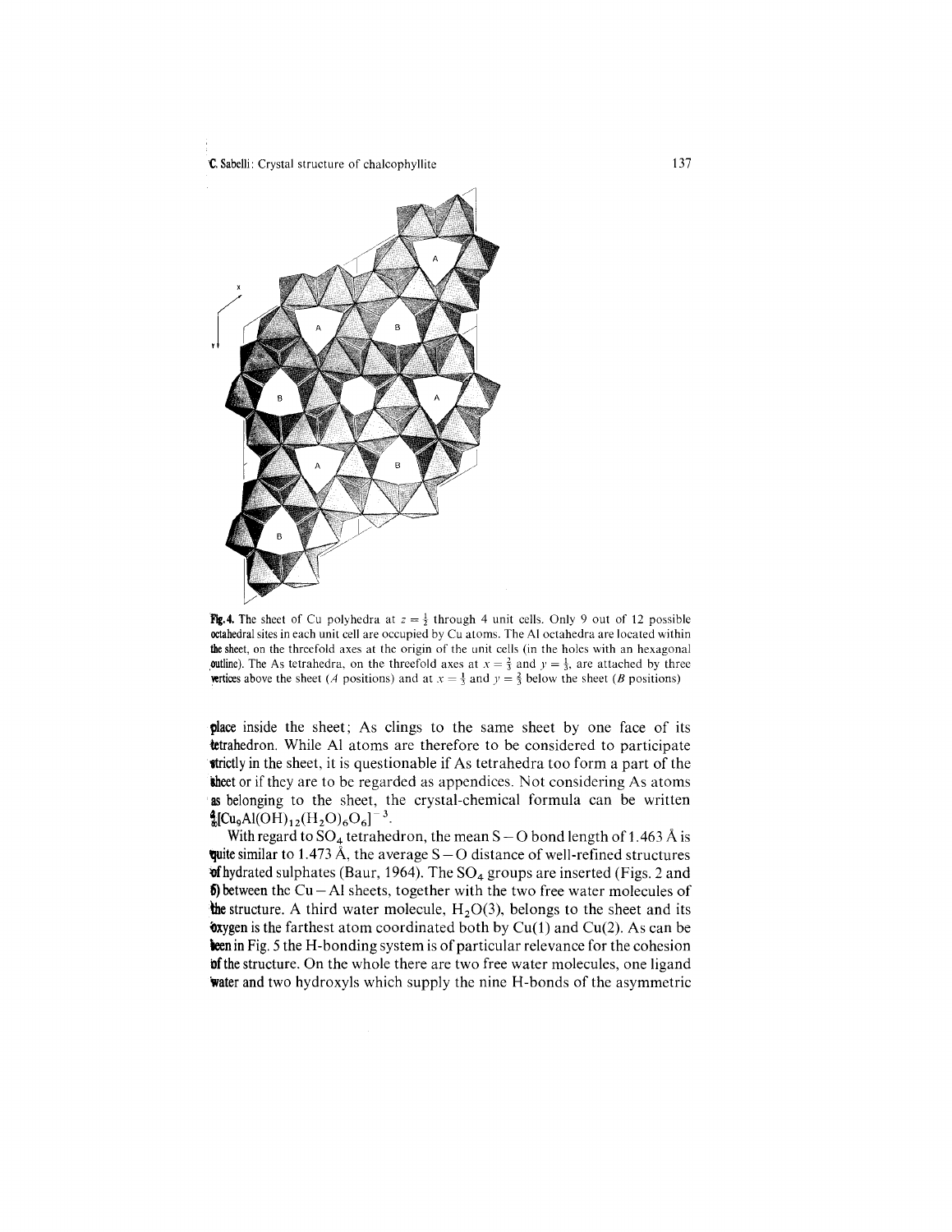

Fig. 4. The sheet of Cu polyhedra at  $z = \frac{1}{2}$  through 4 unit cells. Only 9 out of 12 possible octahedral sites in each unit cell are occupied by Cu atoms. The Al octahedra are located within the sheet, on the threefold axes at the origin of the unit cells (in the holes with an hexagonal **outline). The As tetrahedra, on the threefold axes at**  $x = \frac{2}{3}$  **and**  $y = \frac{1}{3}$ **, are attached by three wettices** above the sheet *(A* positions) and at  $x = \frac{1}{3}$  and  $y = \frac{2}{3}$  below the sheet *(B* positions)

place inside the sheet; As clings to the same sheet by one face of its tetrahedron. While Al atoms are therefore to be considered to participate **strictly** in the sheet, it is questionable if As tetrahedra too form a part of the the et or if they are to be regarded as appendices. Not considering As atoms as belonging to the sheet, the crystal-chemical formula can be written  $^{4}$ <sub>3</sub>[Cu<sub>9</sub>Al(OH)<sub>12</sub>(H<sub>2</sub>O)<sub>6</sub>O<sub>6</sub>]<sup>-3</sup>.

With regard to  $SO_4$  tetrahedron, the mean S - O bond length of 1.463 Å is quite similar to 1.473 Å, the average  $S - O$  distance of well-refined structures  $\text{wf}$  hydrated sulphates (Baur, 1964). The SO<sub>4</sub> groups are inserted (Figs. 2 and  $\delta$ ) between the Cu - Al sheets, together with the two free water molecules of the structure. A third water molecule,  $H_2O(3)$ , belongs to the sheet and its  $\alpha$ yygen is the farthest atom coordinated both by Cu(1) and Cu(2). As can be ken in Fig. 5 the H-bonding system is of particular relevance for the cohesion **bothe** structure. On the whole there are two free water molecules, one ligand water and two hydroxyls which supply the nine H-bonds of the asymmetric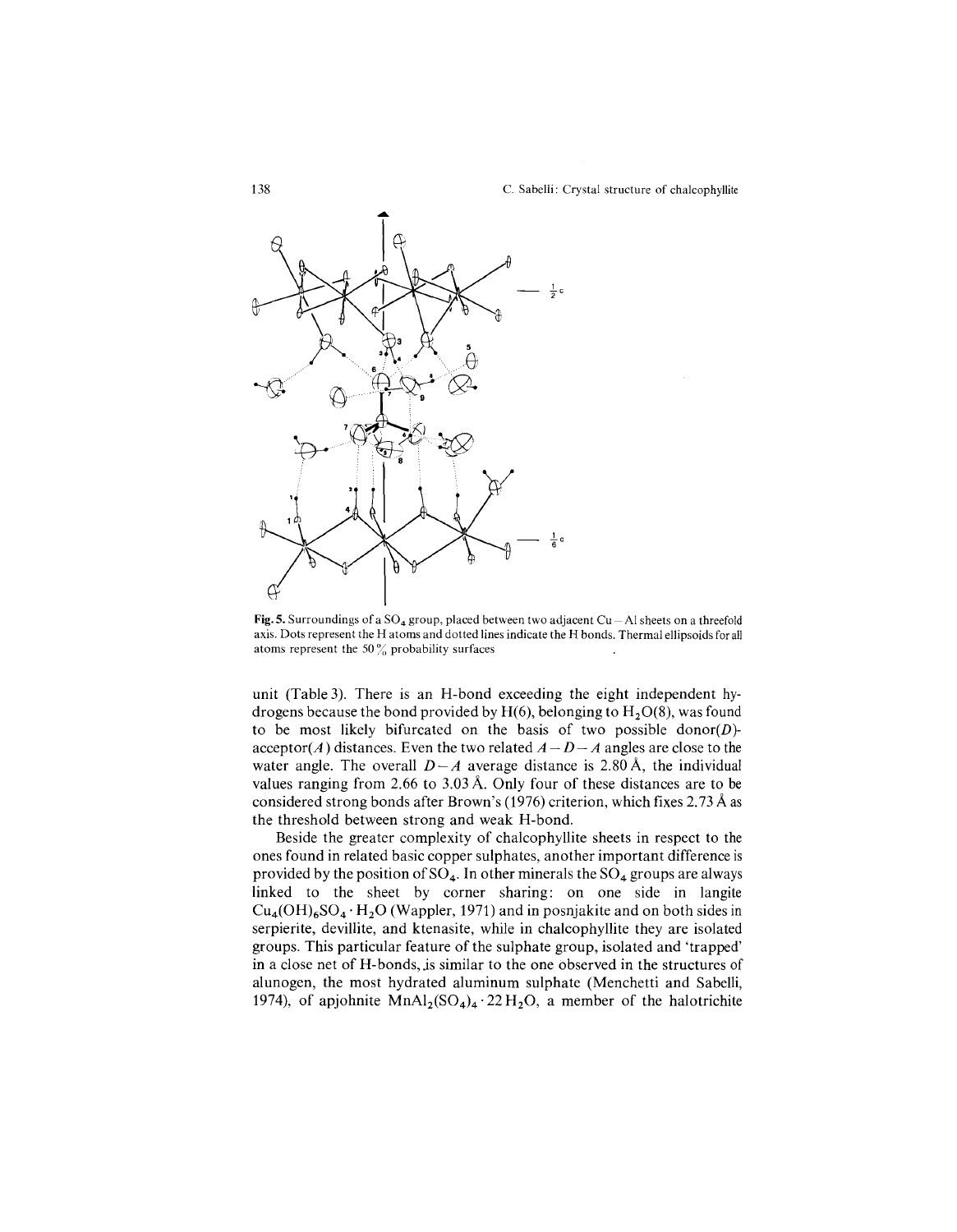

Fig. 5. Surroundings of a  $SO_4$  group, placed between two adjacent  $Cu - Al$  sheets on a threefold axis. Dots represent the H atoms and dotted lines indicate the H bonds. Thermal ellipsoids for all atoms represent the 50 $\%$  probability surfaces

unit (Table 3). There is an H-bond exceeding the eight independent hydrogens because the bond provided by  $H(6)$ , belonging to  $H<sub>2</sub>O(8)$ , was found to be most likely bifurcated on the basis of two possible *donor(D)-*  $\text{acceptor}(A)$  distances. Even the two related  $A - D - A$  angles are close to the water angle. The overall  $D-A$  average distance is 2.80 Å, the individual values ranging from 2.66 to 3.03 A. Only four of these distances are to be considered strong bonds after Brown's (1976) criterion, which fixes 2.73 A as the threshold between strong and weak H-bond.

Beside the greater complexity of chalcophyllite sheets in respect to the ones found in related basic copper sulphates, another important difference is provided by the position of  $SO_4$ . In other minerals the  $SO_4$  groups are always linked to the sheet by corner sharing: on one side in langite  $Cu_4(OH)_6SO_4 \cdot H_2O$  (Wappler, 1971) and in posnjakite and on both sides in serpierite, devilIite, and ktenasite, while in chalcophyllite they are isolated groups. This particular feature of the sulphate group, isolated and 'trapped' in a close net of H-bonds, js similar to the one observed in the structures of alunogen, the most hydrated aluminum sulphate (Menchetti and Sabelli, 1974), of apjohnite  $MnAl_2(SO_4)_4 \cdot 22 H_2O$ , a member of the halotrichite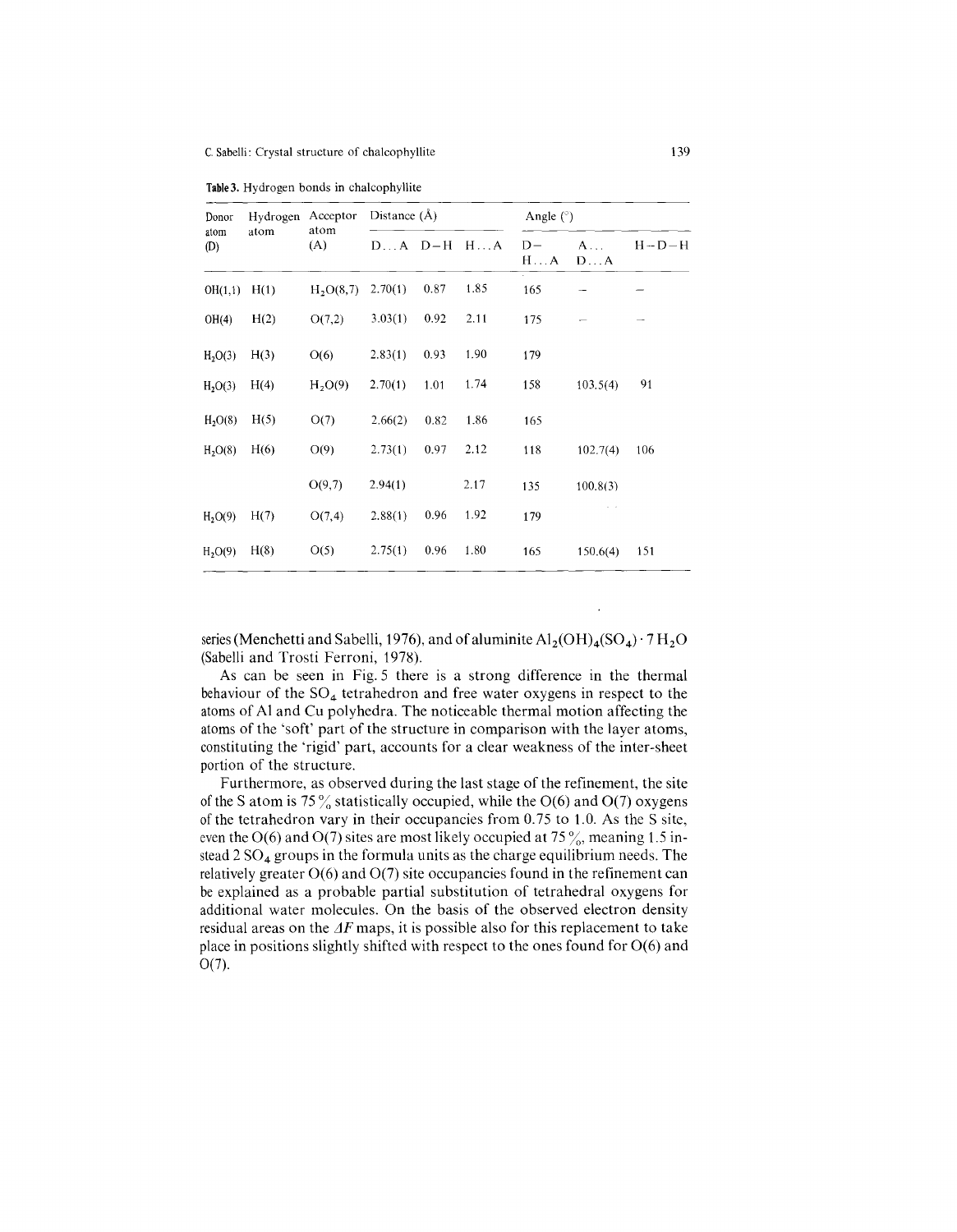|  | <b>Table 3.</b> Hydrogen bonds in chalcophyllite |  |  |  |
|--|--------------------------------------------------|--|--|--|
|--|--------------------------------------------------|--|--|--|

| Donor<br>atom<br>(D) | Hydrogen<br>atom | Acceptor<br>atom<br>(A) | Distance $(\AA)$ |      |             | Angle $(°)$          |                   |             |  |
|----------------------|------------------|-------------------------|------------------|------|-------------|----------------------|-------------------|-------------|--|
|                      |                  |                         | $DA$ $D-H$       |      | $H \dots A$ | $D -$<br>$H \dots A$ | A<br>$D \ldots A$ | $H - D - H$ |  |
| OH(1,1)              | H(1)             | $H_2O(8,7)$             | 2.70(1)          | 0.87 | 1.85        | 165                  |                   |             |  |
| OH(4)                | H(2)             | O(7,2)                  | 3.03(1)          | 0.92 | 2.11        | 175                  |                   |             |  |
| H <sub>2</sub> O(3)  | H(3)             | O(6)                    | 2.83(1)          | 0.93 | 1.90        | 179                  |                   |             |  |
| H <sub>2</sub> O(3)  | H(4)             | $H_2O(9)$               | 2.70(1)          | 1.01 | 1.74        | 158                  | 103.5(4)          | 91          |  |
| H <sub>2</sub> O(8)  | H(5)             | O(7)                    | 2.66(2)          | 0.82 | 1.86        | 165                  |                   |             |  |
| H <sub>2</sub> O(8)  | H(6)             | O(9)                    | 2.73(1)          | 0.97 | 2.12        | 118                  | 102.7(4)          | 106         |  |
|                      |                  | O(9,7)                  | 2.94(1)          |      | 2.17        | 135                  | 100.8(3)          |             |  |
| H <sub>2</sub> O(9)  | H(7)             | O(7,4)                  | 2.88(1)          | 0.96 | 1.92        | 179                  |                   |             |  |
| H <sub>2</sub> O(9)  | H(8)             | O(5)                    | 2.75(1)          | 0.96 | 1.80        | 165                  | 150.6(4)          | 151         |  |

series (Menchetti and Sabelli, 1976), and of aluminite  $\text{Al}_2(\text{OH})_4(\text{SO}_4) \cdot 7\,\text{H}_2\text{O}$ (Sabelli and Trosti Ferroni, 1978).

As can be seen in Fig. 5 there is a strong difference in the thermal behaviour of the  $SO_4$  tetrahedron and free water oxygens in respect to the atoms of Al and Cu polyhedra. The noticeable thermal motion affecting the atoms of the 'soft' part of the structure in comparison with the layer atoms, constituting the 'rigid' part, accounts for a clear weakness of the inter-sheet portion of the structure.

Furthermore, as observed during the last stage of the refinement, the site of the S atom is 75  $\%$  statistically occupied, while the O(6) and O(7) oxygens of the tetrahedron vary in their occupancies from 0.75 to 1.0. As the S site, even the O(6) and O(7) sites are most likely occupied at 75  $\frac{9}{20}$ , meaning 1.5 instead  $2 \text{ SO}_4$  groups in the formula units as the charge equilibrium needs. The relatively greater 0(6) and 0(7) site occupancies found in the refinement can be explained as a probable partial substitution of tetrahedral oxygens for additional water molecules. On the basis of the observed electron density residual areas on the *LF* maps, it is possible also for this replacement to take place in positions slightly shifted with respect to the ones found for 0(6) and 0(7).